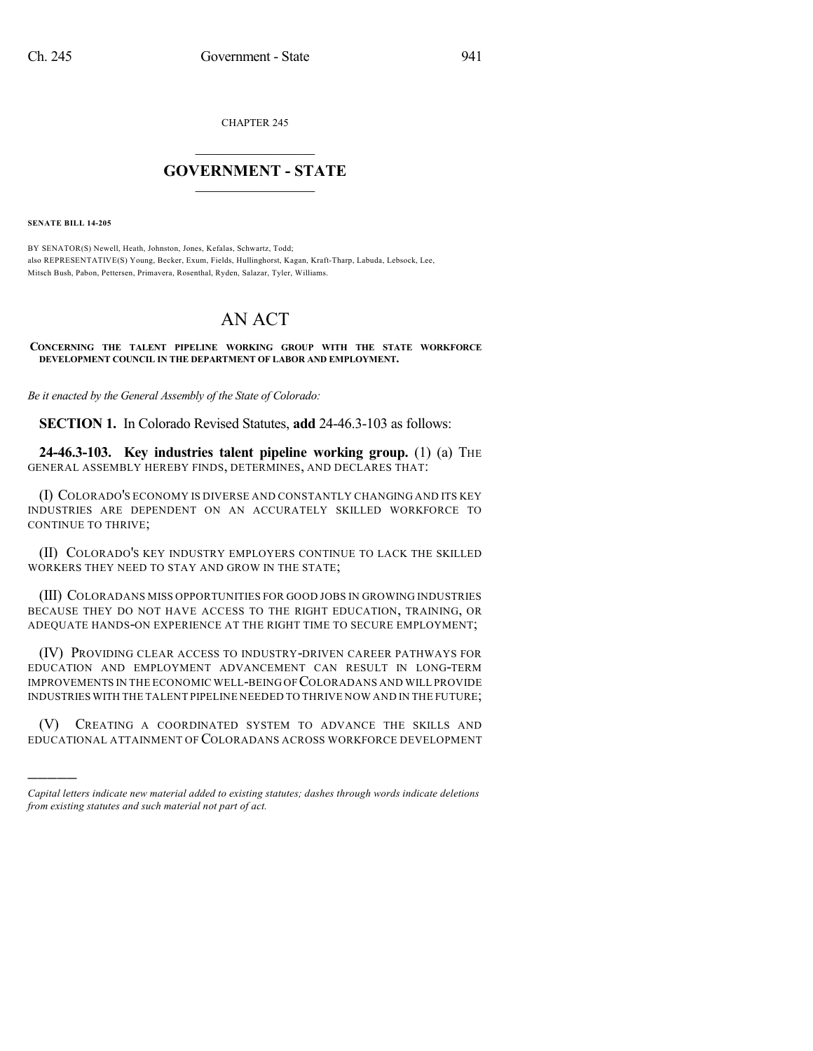CHAPTER 245

## $\mathcal{L}_\text{max}$  . The set of the set of the set of the set of the set of the set of the set of the set of the set of the set of the set of the set of the set of the set of the set of the set of the set of the set of the set **GOVERNMENT - STATE**  $\_$   $\_$

**SENATE BILL 14-205**

)))))

BY SENATOR(S) Newell, Heath, Johnston, Jones, Kefalas, Schwartz, Todd; also REPRESENTATIVE(S) Young, Becker, Exum, Fields, Hullinghorst, Kagan, Kraft-Tharp, Labuda, Lebsock, Lee, Mitsch Bush, Pabon, Pettersen, Primavera, Rosenthal, Ryden, Salazar, Tyler, Williams.

## AN ACT

**CONCERNING THE TALENT PIPELINE WORKING GROUP WITH THE STATE WORKFORCE DEVELOPMENT COUNCIL IN THE DEPARTMENT OF LABOR AND EMPLOYMENT.**

*Be it enacted by the General Assembly of the State of Colorado:*

**SECTION 1.** In Colorado Revised Statutes, **add** 24-46.3-103 as follows:

**24-46.3-103. Key industries talent pipeline working group.** (1) (a) THE GENERAL ASSEMBLY HEREBY FINDS, DETERMINES, AND DECLARES THAT:

(I) COLORADO'S ECONOMY IS DIVERSE AND CONSTANTLY CHANGING AND ITS KEY INDUSTRIES ARE DEPENDENT ON AN ACCURATELY SKILLED WORKFORCE TO CONTINUE TO THRIVE;

(II) COLORADO'S KEY INDUSTRY EMPLOYERS CONTINUE TO LACK THE SKILLED WORKERS THEY NEED TO STAY AND GROW IN THE STATE;

(III) COLORADANS MISS OPPORTUNITIES FOR GOOD JOBS IN GROWING INDUSTRIES BECAUSE THEY DO NOT HAVE ACCESS TO THE RIGHT EDUCATION, TRAINING, OR ADEQUATE HANDS-ON EXPERIENCE AT THE RIGHT TIME TO SECURE EMPLOYMENT;

(IV) PROVIDING CLEAR ACCESS TO INDUSTRY-DRIVEN CAREER PATHWAYS FOR EDUCATION AND EMPLOYMENT ADVANCEMENT CAN RESULT IN LONG-TERM IMPROVEMENTS IN THE ECONOMIC WELL-BEING OF COLORADANS AND WILL PROVIDE INDUSTRIES WITH THE TALENT PIPELINE NEEDED TO THRIVE NOW AND IN THE FUTURE;

(V) CREATING A COORDINATED SYSTEM TO ADVANCE THE SKILLS AND EDUCATIONAL ATTAINMENT OF COLORADANS ACROSS WORKFORCE DEVELOPMENT

*Capital letters indicate new material added to existing statutes; dashes through words indicate deletions from existing statutes and such material not part of act.*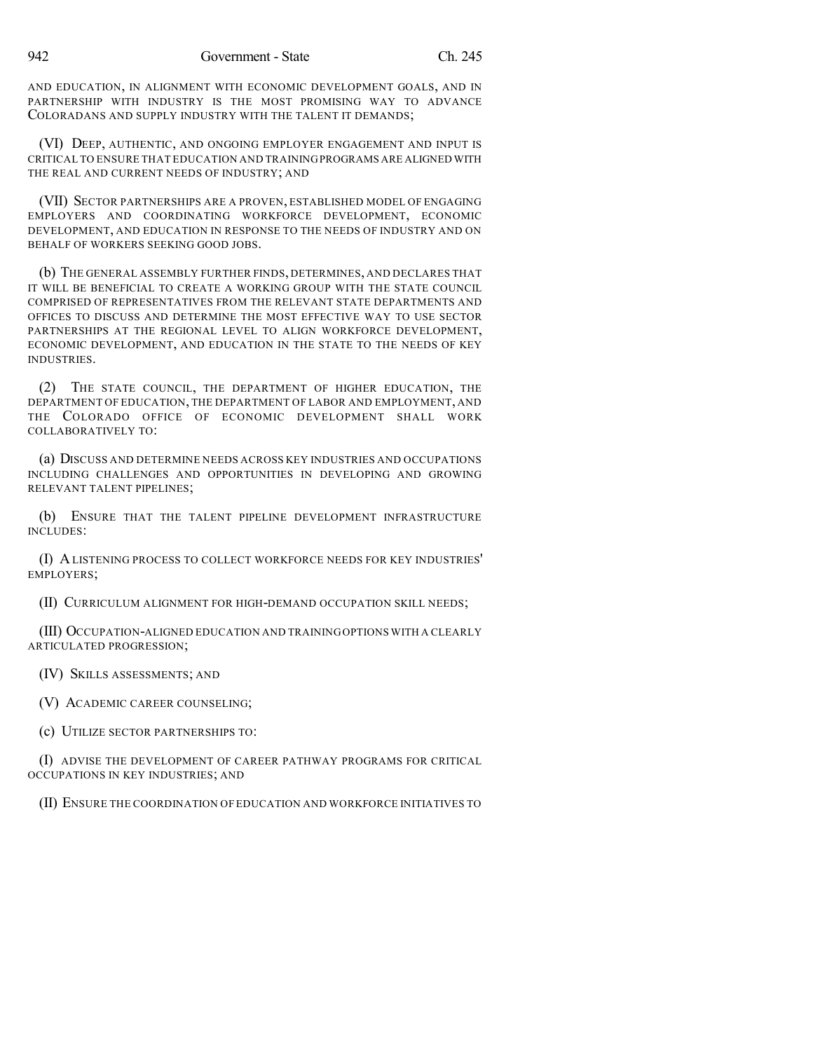AND EDUCATION, IN ALIGNMENT WITH ECONOMIC DEVELOPMENT GOALS, AND IN PARTNERSHIP WITH INDUSTRY IS THE MOST PROMISING WAY TO ADVANCE COLORADANS AND SUPPLY INDUSTRY WITH THE TALENT IT DEMANDS;

(VI) DEEP, AUTHENTIC, AND ONGOING EMPLOYER ENGAGEMENT AND INPUT IS CRITICAL TO ENSURE THAT EDUCATION AND TRAININGPROGRAMS ARE ALIGNED WITH THE REAL AND CURRENT NEEDS OF INDUSTRY; AND

(VII) SECTOR PARTNERSHIPS ARE A PROVEN, ESTABLISHED MODEL OF ENGAGING EMPLOYERS AND COORDINATING WORKFORCE DEVELOPMENT, ECONOMIC DEVELOPMENT, AND EDUCATION IN RESPONSE TO THE NEEDS OF INDUSTRY AND ON BEHALF OF WORKERS SEEKING GOOD JOBS.

(b) THE GENERAL ASSEMBLY FURTHER FINDS, DETERMINES, AND DECLARES THAT IT WILL BE BENEFICIAL TO CREATE A WORKING GROUP WITH THE STATE COUNCIL COMPRISED OF REPRESENTATIVES FROM THE RELEVANT STATE DEPARTMENTS AND OFFICES TO DISCUSS AND DETERMINE THE MOST EFFECTIVE WAY TO USE SECTOR PARTNERSHIPS AT THE REGIONAL LEVEL TO ALIGN WORKFORCE DEVELOPMENT, ECONOMIC DEVELOPMENT, AND EDUCATION IN THE STATE TO THE NEEDS OF KEY INDUSTRIES.

(2) THE STATE COUNCIL, THE DEPARTMENT OF HIGHER EDUCATION, THE DEPARTMENT OF EDUCATION, THE DEPARTMENT OF LABOR AND EMPLOYMENT, AND THE COLORADO OFFICE OF ECONOMIC DEVELOPMENT SHALL WORK COLLABORATIVELY TO:

(a) DISCUSS AND DETERMINE NEEDS ACROSS KEY INDUSTRIES AND OCCUPATIONS INCLUDING CHALLENGES AND OPPORTUNITIES IN DEVELOPING AND GROWING RELEVANT TALENT PIPELINES;

(b) ENSURE THAT THE TALENT PIPELINE DEVELOPMENT INFRASTRUCTURE INCLUDES:

(I) A LISTENING PROCESS TO COLLECT WORKFORCE NEEDS FOR KEY INDUSTRIES' EMPLOYERS;

(II) CURRICULUM ALIGNMENT FOR HIGH-DEMAND OCCUPATION SKILL NEEDS;

(III) OCCUPATION-ALIGNED EDUCATION AND TRAININGOPTIONS WITH A CLEARLY ARTICULATED PROGRESSION;

(IV) SKILLS ASSESSMENTS; AND

(V) ACADEMIC CAREER COUNSELING;

(c) UTILIZE SECTOR PARTNERSHIPS TO:

(I) ADVISE THE DEVELOPMENT OF CAREER PATHWAY PROGRAMS FOR CRITICAL OCCUPATIONS IN KEY INDUSTRIES; AND

(II) ENSURE THE COORDINATION OF EDUCATION AND WORKFORCE INITIATIVES TO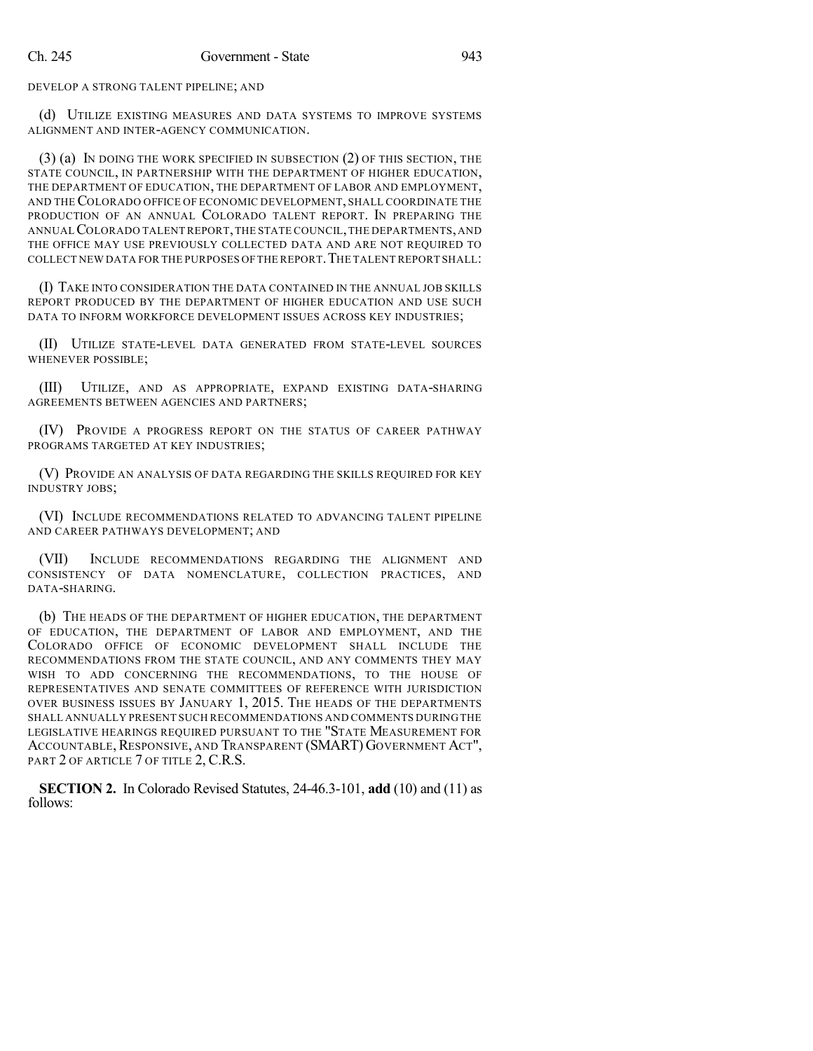DEVELOP A STRONG TALENT PIPELINE; AND

(d) UTILIZE EXISTING MEASURES AND DATA SYSTEMS TO IMPROVE SYSTEMS ALIGNMENT AND INTER-AGENCY COMMUNICATION.

(3) (a) IN DOING THE WORK SPECIFIED IN SUBSECTION (2) OF THIS SECTION, THE STATE COUNCIL, IN PARTNERSHIP WITH THE DEPARTMENT OF HIGHER EDUCATION, THE DEPARTMENT OF EDUCATION, THE DEPARTMENT OF LABOR AND EMPLOYMENT, AND THECOLORADO OFFICE OF ECONOMIC DEVELOPMENT, SHALL COORDINATE THE PRODUCTION OF AN ANNUAL COLORADO TALENT REPORT. IN PREPARING THE ANNUALCOLORADO TALENTREPORT,THE STATE COUNCIL,THE DEPARTMENTS,AND THE OFFICE MAY USE PREVIOUSLY COLLECTED DATA AND ARE NOT REQUIRED TO COLLECT NEW DATA FOR THE PURPOSES OFTHE REPORT.THE TALENT REPORT SHALL:

(I) TAKE INTO CONSIDERATION THE DATA CONTAINED IN THE ANNUAL JOB SKILLS REPORT PRODUCED BY THE DEPARTMENT OF HIGHER EDUCATION AND USE SUCH DATA TO INFORM WORKFORCE DEVELOPMENT ISSUES ACROSS KEY INDUSTRIES;

(II) UTILIZE STATE-LEVEL DATA GENERATED FROM STATE-LEVEL SOURCES WHENEVER POSSIBLE;

(III) UTILIZE, AND AS APPROPRIATE, EXPAND EXISTING DATA-SHARING AGREEMENTS BETWEEN AGENCIES AND PARTNERS;

(IV) PROVIDE A PROGRESS REPORT ON THE STATUS OF CAREER PATHWAY PROGRAMS TARGETED AT KEY INDUSTRIES;

(V) PROVIDE AN ANALYSIS OF DATA REGARDING THE SKILLS REQUIRED FOR KEY INDUSTRY JOBS;

(VI) INCLUDE RECOMMENDATIONS RELATED TO ADVANCING TALENT PIPELINE AND CAREER PATHWAYS DEVELOPMENT; AND

(VII) INCLUDE RECOMMENDATIONS REGARDING THE ALIGNMENT AND CONSISTENCY OF DATA NOMENCLATURE, COLLECTION PRACTICES, AND DATA-SHARING.

(b) THE HEADS OF THE DEPARTMENT OF HIGHER EDUCATION, THE DEPARTMENT OF EDUCATION, THE DEPARTMENT OF LABOR AND EMPLOYMENT, AND THE COLORADO OFFICE OF ECONOMIC DEVELOPMENT SHALL INCLUDE THE RECOMMENDATIONS FROM THE STATE COUNCIL, AND ANY COMMENTS THEY MAY WISH TO ADD CONCERNING THE RECOMMENDATIONS, TO THE HOUSE OF REPRESENTATIVES AND SENATE COMMITTEES OF REFERENCE WITH JURISDICTION OVER BUSINESS ISSUES BY JANUARY 1, 2015. THE HEADS OF THE DEPARTMENTS SHALL ANNUALLY PRESENT SUCH RECOMMENDATIONS AND COMMENTS DURING THE LEGISLATIVE HEARINGS REQUIRED PURSUANT TO THE "STATE MEASUREMENT FOR ACCOUNTABLE,RESPONSIVE, AND TRANSPARENT (SMART) GOVERNMENT ACT", PART 2 OF ARTICLE 7 OF TITLE 2, C.R.S.

**SECTION 2.** In Colorado Revised Statutes, 24-46.3-101, **add** (10) and (11) as follows: